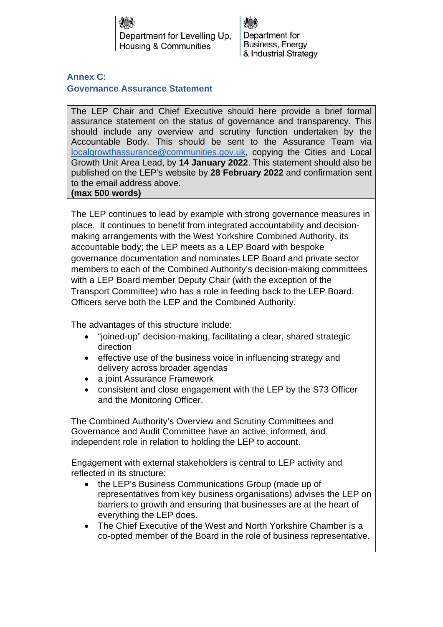Department for Levelling Up. **Housing & Communities** 

Department for Business, Energy & Industrial Strategy

## **Annex C: Governance Assurance Statement**

The LEP Chair and Chief Executive should here provide a brief formal assurance statement on the status of governance and transparency. This should include any overview and scrutiny function undertaken by the Accountable Body. This should be sent to the Assurance Team via localgrowthassurance@communities.gov.uk, copying the Cities and Local Growth Unit Area Lead, by **14 January 2022**. This statement should also be published on the LEP's website by **28 February 2022** and confirmation sent to the email address above.

## **(max 500 words)**

The LEP continues to lead by example with strong governance measures in place. It continues to benefit from integrated accountability and decisionmaking arrangements with the West Yorkshire Combined Authority, its accountable body; the LEP meets as a LEP Board with bespoke governance documentation and nominates LEP Board and private sector members to each of the Combined Authority's decision-making committees with a LEP Board member Deputy Chair (with the exception of the Transport Committee) who has a role in feeding back to the LEP Board. Officers serve both the LEP and the Combined Authority.

The advantages of this structure include:

- "joined-up" decision-making, facilitating a clear, shared strategic direction
- effective use of the business voice in influencing strategy and delivery across broader agendas
- a joint Assurance Framework
- consistent and close engagement with the LEP by the S73 Officer and the Monitoring Officer.

The Combined Authority's Overview and Scrutiny Committees and Governance and Audit Committee have an active, informed, and independent role in relation to holding the LEP to account.

Engagement with external stakeholders is central to LEP activity and reflected in its structure:

- the LEP's Business Communications Group (made up of representatives from key business organisations) advises the LEP on barriers to growth and ensuring that businesses are at the heart of everything the LEP does.
- The Chief Executive of the West and North Yorkshire Chamber is a co-opted member of the Board in the role of business representative.